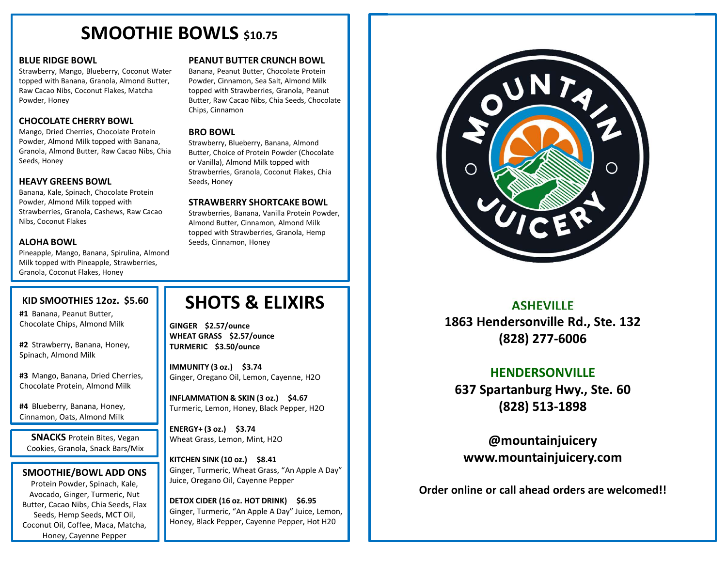## SMOOTHIE BOWLS \$10.75

### BLUE RIDGE BOWL

Strawberry, Mango, Blueberry, Coconut Water topped with Banana, Granola, Almond Butter, Raw Cacao Nibs, Coconut Flakes, Matcha Powder, Honey

### CHOCOLATE CHERRY BOWL

Mango, Dried Cherries, Chocolate Protein Powder, Almond Milk topped with Banana, Granola, Almond Butter, Raw Cacao Nibs, Chia Seeds, Honey

### HEAVY GREENS BOWL

Banana, Kale, Spinach, Chocolate Protein Powder, Almond Milk topped with Strawberries, Granola, Cashews, Raw Cacao Nibs, Coconut Flakes

### ALOHA BOWL

Pineapple, Mango, Banana, Spirulina, Almond Milk topped with Pineapple, Strawberries, Granola, Coconut Flakes, Honey

### PEANUT BUTTER CRUNCH BOWL

Banana, Peanut Butter, Chocolate Protein Powder, Cinnamon, Sea Salt, Almond Milk topped with Strawberries, Granola, Peanut Butter, Raw Cacao Nibs, Chia Seeds, Chocolate Chips, Cinnamon

### BRO BOWL

Strawberry, Blueberry, Banana, Almond Butter, Choice of Protein Powder (Chocolate or Vanilla), Almond Milk topped with Strawberries, Granola, Coconut Flakes, Chia Seeds, Honey

### STRAWBERRY SHORTCAKE BOWL

Strawberries, Banana, Vanilla Protein Powder, Almond Butter, Cinnamon, Almond Milk topped with Strawberries, Granola, Hemp Seeds, Cinnamon, Honey

#1 Banana, Peanut Butter, Chocolate Chips, Almond Milk

#2 Strawberry, Banana, Honey, Spinach, Almond Milk

#3 Mango, Banana, Dried Cherries, Chocolate Protein, Almond Milk

#4 Blueberry, Banana, Honey, Cinnamon, Oats, Almond Milk

**SNACKS** Protein Bites, Vegan Cookies, Granola, Snack Bars/Mix

### SMOOTHIE/BOWL ADD ONS

Protein Powder, Spinach, Kale, Avocado, Ginger, Turmeric, Nut Butter, Cacao Nibs, Chia Seeds, Flax Seeds, Hemp Seeds, MCT Oil, Coconut Oil, Coffee, Maca, Matcha, Honey, Cayenne Pepper

### SHOTS & ELIXIRS KID SMOOTHIES 12oz. \$5.60

GINGER \$2.57/ounce WHEAT GRASS \$2.57/ounce TURMERIC \$3.50/ounce

IMMUNITY (3 oz.) \$3.74 Ginger, Oregano Oil, Lemon, Cayenne, H2O

INFLAMMATION & SKIN (3 oz.) \$4.67 Turmeric, Lemon, Honey, Black Pepper, H2O

ENERGY+ (3 oz.) \$3.74 Wheat Grass, Lemon, Mint, H2O

KITCHEN SINK (10 oz.) \$8.41 Ginger, Turmeric, Wheat Grass, "An Apple A Day" Juice, Oregano Oil, Cayenne Pepper

DETOX CIDER (16 oz. HOT DRINK) \$6.95 Ginger, Turmeric, "An Apple A Day" Juice, Lemon, Honey, Black Pepper, Cayenne Pepper, Hot H20



### ASHEVILLE

1863 Hendersonville Rd., Ste. 132 (828) 277-6006

### **HENDERSONVILLE**

637 Spartanburg Hwy., Ste. 60 (828) 513-1898

@mountainjuicery www.mountainjuicery.com

Order online or call ahead orders are welcomed!!